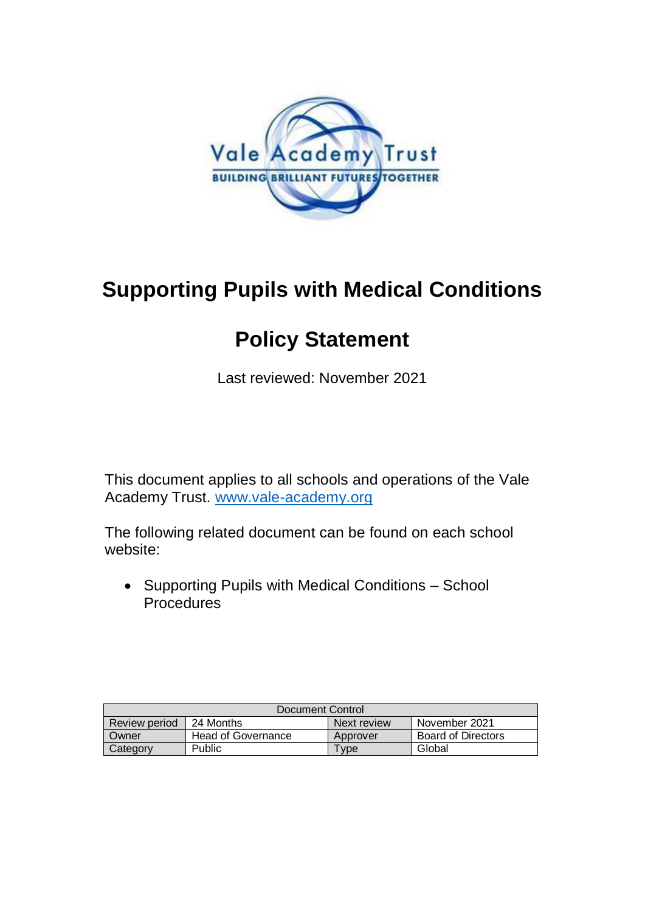

# **Supporting Pupils with Medical Conditions**

## **Policy Statement**

Last reviewed: November 2021

This document applies to all schools and operations of the Vale Academy Trust. [www.vale-academy.org](http://www.vale-academy.org/)

The following related document can be found on each school website:

 Supporting Pupils with Medical Conditions – School **Procedures** 

| Document Control     |                    |             |                           |
|----------------------|--------------------|-------------|---------------------------|
| <b>Review period</b> | 24 Months          | Next review | November 2021             |
| Owner                | Head of Governance | Approver    | <b>Board of Directors</b> |
| Category             | Public             | <b>vpe</b>  | Global                    |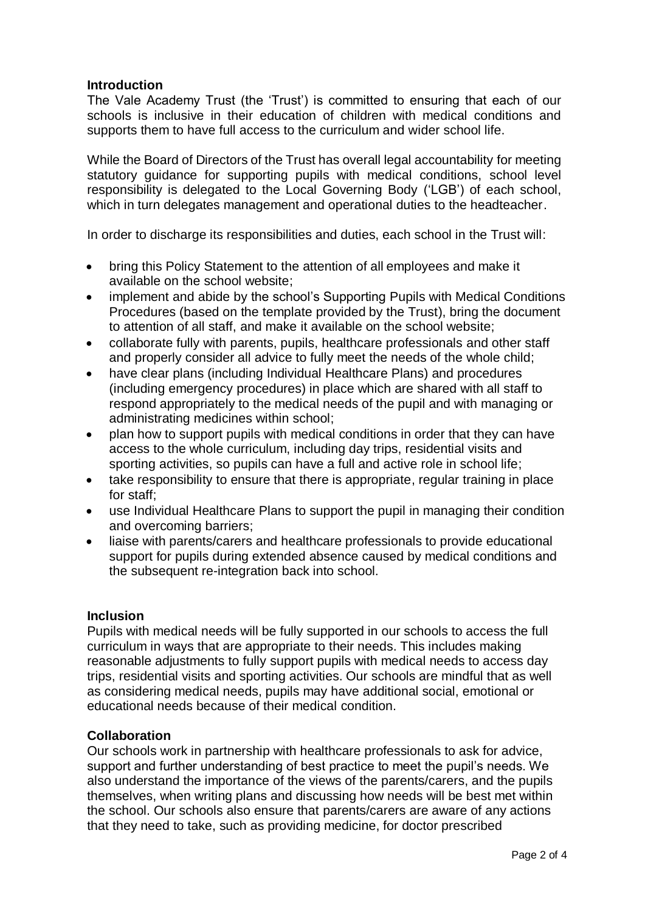### **Introduction**

The Vale Academy Trust (the 'Trust') is committed to ensuring that each of our schools is inclusive in their education of children with medical conditions and supports them to have full access to the curriculum and wider school life.

While the Board of Directors of the Trust has overall legal accountability for meeting statutory guidance for supporting pupils with medical conditions, school level responsibility is delegated to the Local Governing Body ('LGB') of each school, which in turn delegates management and operational duties to the headteacher.

In order to discharge its responsibilities and duties, each school in the Trust will:

- bring this Policy Statement to the attention of all employees and make it available on the school website;
- implement and abide by the school's Supporting Pupils with Medical Conditions Procedures (based on the template provided by the Trust), bring the document to attention of all staff, and make it available on the school website;
- collaborate fully with parents, pupils, healthcare professionals and other staff and properly consider all advice to fully meet the needs of the whole child;
- have clear plans (including Individual Healthcare Plans) and procedures (including emergency procedures) in place which are shared with all staff to respond appropriately to the medical needs of the pupil and with managing or administrating medicines within school;
- plan how to support pupils with medical conditions in order that they can have access to the whole curriculum, including day trips, residential visits and sporting activities, so pupils can have a full and active role in school life;
- take responsibility to ensure that there is appropriate, regular training in place for staff;
- use Individual Healthcare Plans to support the pupil in managing their condition and overcoming barriers;
- liaise with parents/carers and healthcare professionals to provide educational support for pupils during extended absence caused by medical conditions and the subsequent re-integration back into school.

### **Inclusion**

Pupils with medical needs will be fully supported in our schools to access the full curriculum in ways that are appropriate to their needs. This includes making reasonable adjustments to fully support pupils with medical needs to access day trips, residential visits and sporting activities. Our schools are mindful that as well as considering medical needs, pupils may have additional social, emotional or educational needs because of their medical condition.

### **Collaboration**

Our schools work in partnership with healthcare professionals to ask for advice, support and further understanding of best practice to meet the pupil's needs. We also understand the importance of the views of the parents/carers, and the pupils themselves, when writing plans and discussing how needs will be best met within the school. Our schools also ensure that parents/carers are aware of any actions that they need to take, such as providing medicine, for doctor prescribed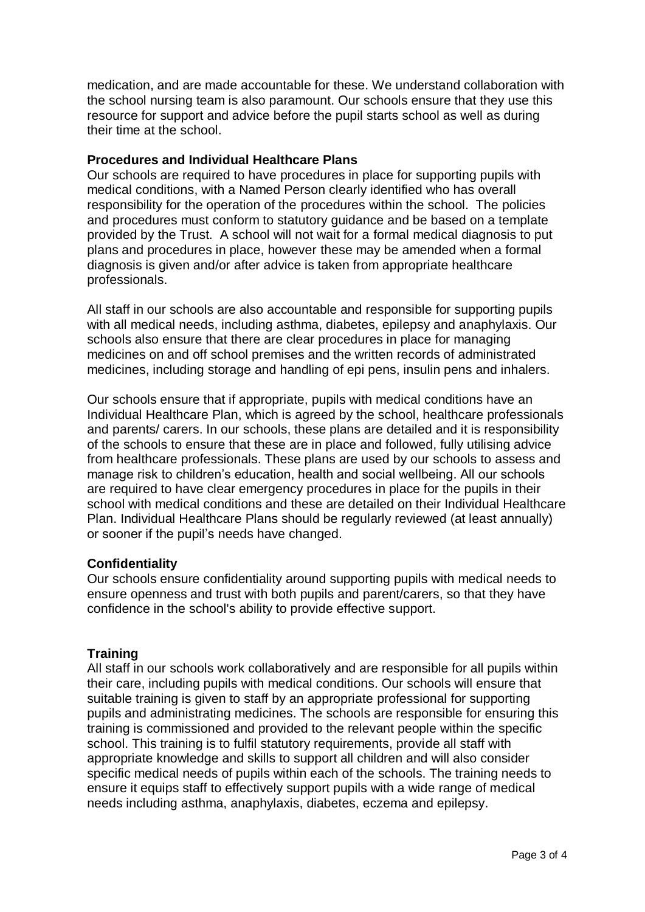medication, and are made accountable for these. We understand collaboration with the school nursing team is also paramount. Our schools ensure that they use this resource for support and advice before the pupil starts school as well as during their time at the school.

#### **Procedures and Individual Healthcare Plans**

Our schools are required to have procedures in place for supporting pupils with medical conditions, with a Named Person clearly identified who has overall responsibility for the operation of the procedures within the school. The policies and procedures must conform to statutory guidance and be based on a template provided by the Trust. A school will not wait for a formal medical diagnosis to put plans and procedures in place, however these may be amended when a formal diagnosis is given and/or after advice is taken from appropriate healthcare professionals.

All staff in our schools are also accountable and responsible for supporting pupils with all medical needs, including asthma, diabetes, epilepsy and anaphylaxis. Our schools also ensure that there are clear procedures in place for managing medicines on and off school premises and the written records of administrated medicines, including storage and handling of epi pens, insulin pens and inhalers.

Our schools ensure that if appropriate, pupils with medical conditions have an Individual Healthcare Plan, which is agreed by the school, healthcare professionals and parents/ carers. In our schools, these plans are detailed and it is responsibility of the schools to ensure that these are in place and followed, fully utilising advice from healthcare professionals. These plans are used by our schools to assess and manage risk to children's education, health and social wellbeing. All our schools are required to have clear emergency procedures in place for the pupils in their school with medical conditions and these are detailed on their Individual Healthcare Plan. Individual Healthcare Plans should be regularly reviewed (at least annually) or sooner if the pupil's needs have changed.

### **Confidentiality**

Our schools ensure confidentiality around supporting pupils with medical needs to ensure openness and trust with both pupils and parent/carers, so that they have confidence in the school's ability to provide effective support.

### **Training**

All staff in our schools work collaboratively and are responsible for all pupils within their care, including pupils with medical conditions. Our schools will ensure that suitable training is given to staff by an appropriate professional for supporting pupils and administrating medicines. The schools are responsible for ensuring this training is commissioned and provided to the relevant people within the specific school. This training is to fulfil statutory requirements, provide all staff with appropriate knowledge and skills to support all children and will also consider specific medical needs of pupils within each of the schools. The training needs to ensure it equips staff to effectively support pupils with a wide range of medical needs including asthma, anaphylaxis, diabetes, eczema and epilepsy.